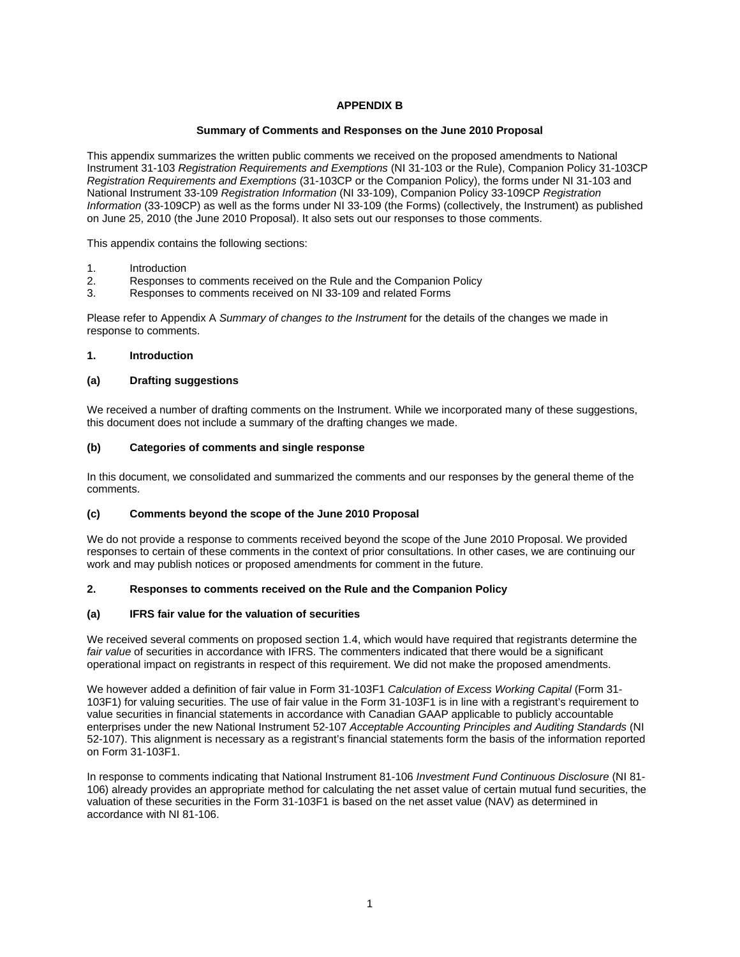# **APPENDIX B**

### **Summary of Comments and Responses on the June 2010 Proposal**

This appendix summarizes the written public comments we received on the proposed amendments to National Instrument 31-103 *Registration Requirements and Exemptions* (NI 31-103 or the Rule), Companion Policy 31-103CP *Registration Requirements and Exemptions* (31-103CP or the Companion Policy), the forms under NI 31-103 and National Instrument 33-109 *Registration Information* (NI 33-109), Companion Policy 33-109CP *Registration Information* (33-109CP) as well as the forms under NI 33-109 (the Forms) (collectively, the Instrument) as published on June 25, 2010 (the June 2010 Proposal). It also sets out our responses to those comments.

This appendix contains the following sections:

- 1. Introduction
- 2. Responses to comments received on the Rule and the Companion Policy
- 3. Responses to comments received on NI 33-109 and related Forms

Please refer to Appendix A *Summary of changes to the Instrument* for the details of the changes we made in response to comments.

#### **1. Introduction**

### **(a) Drafting suggestions**

We received a number of drafting comments on the Instrument. While we incorporated many of these suggestions, this document does not include a summary of the drafting changes we made.

### **(b) Categories of comments and single response**

In this document, we consolidated and summarized the comments and our responses by the general theme of the comments.

#### **(c) Comments beyond the scope of the June 2010 Proposal**

We do not provide a response to comments received beyond the scope of the June 2010 Proposal. We provided responses to certain of these comments in the context of prior consultations. In other cases, we are continuing our work and may publish notices or proposed amendments for comment in the future.

### **2. Responses to comments received on the Rule and the Companion Policy**

### **(a) IFRS fair value for the valuation of securities**

We received several comments on proposed section 1.4, which would have required that registrants determine the *fair value* of securities in accordance with IFRS. The commenters indicated that there would be a significant operational impact on registrants in respect of this requirement. We did not make the proposed amendments.

We however added a definition of fair value in Form 31-103F1 *Calculation of Excess Working Capital* (Form 31- 103F1) for valuing securities. The use of fair value in the Form 31-103F1 is in line with a registrant's requirement to value securities in financial statements in accordance with Canadian GAAP applicable to publicly accountable enterprises under the new National Instrument 52-107 *Acceptable Accounting Principles and Auditing Standards* (NI 52-107). This alignment is necessary as a registrant's financial statements form the basis of the information reported on Form 31-103F1.

In response to comments indicating that National Instrument 81-106 *Investment Fund Continuous Disclosure* (NI 81- 106) already provides an appropriate method for calculating the net asset value of certain mutual fund securities, the valuation of these securities in the Form 31-103F1 is based on the net asset value (NAV) as determined in accordance with NI 81-106.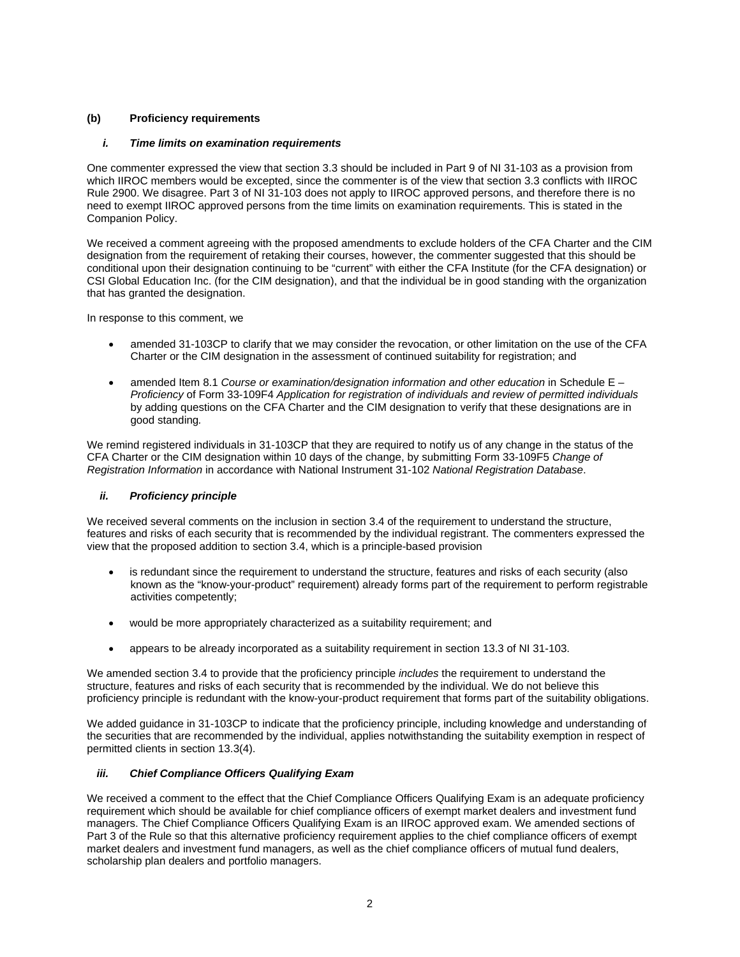# **(b) Proficiency requirements**

### *i. Time limits on examination requirements*

One commenter expressed the view that section 3.3 should be included in Part 9 of NI 31-103 as a provision from which IIROC members would be excepted, since the commenter is of the view that section 3.3 conflicts with IIROC Rule 2900. We disagree. Part 3 of NI 31-103 does not apply to IIROC approved persons, and therefore there is no need to exempt IIROC approved persons from the time limits on examination requirements. This is stated in the Companion Policy.

We received a comment agreeing with the proposed amendments to exclude holders of the CFA Charter and the CIM designation from the requirement of retaking their courses, however, the commenter suggested that this should be conditional upon their designation continuing to be "current" with either the CFA Institute (for the CFA designation) or CSI Global Education Inc. (for the CIM designation), and that the individual be in good standing with the organization that has granted the designation.

In response to this comment, we

- amended 31-103CP to clarify that we may consider the revocation, or other limitation on the use of the CFA Charter or the CIM designation in the assessment of continued suitability for registration; and
- amended Item 8.1 *Course or examination/designation information and other education* in Schedule E *Proficiency* of Form 33-109F4 *Application for registration of individuals and review of permitted individuals*  by adding questions on the CFA Charter and the CIM designation to verify that these designations are in good standing*.*

We remind registered individuals in 31-103CP that they are required to notify us of any change in the status of the CFA Charter or the CIM designation within 10 days of the change, by submitting Form 33-109F5 *Change of Registration Information* in accordance with National Instrument 31-102 *National Registration Database*.

### *ii. Proficiency principle*

We received several comments on the inclusion in section 3.4 of the requirement to understand the structure, features and risks of each security that is recommended by the individual registrant. The commenters expressed the view that the proposed addition to section 3.4, which is a principle-based provision

- is redundant since the requirement to understand the structure, features and risks of each security (also known as the "know-your-product" requirement) already forms part of the requirement to perform registrable activities competently;
- would be more appropriately characterized as a suitability requirement; and
- appears to be already incorporated as a suitability requirement in section 13.3 of NI 31-103.

We amended section 3.4 to provide that the proficiency principle *includes* the requirement to understand the structure, features and risks of each security that is recommended by the individual. We do not believe this proficiency principle is redundant with the know-your-product requirement that forms part of the suitability obligations.

We added guidance in 31-103CP to indicate that the proficiency principle, including knowledge and understanding of the securities that are recommended by the individual, applies notwithstanding the suitability exemption in respect of permitted clients in section 13.3(4).

# *iii. Chief Compliance Officers Qualifying Exam*

We received a comment to the effect that the Chief Compliance Officers Qualifying Exam is an adequate proficiency requirement which should be available for chief compliance officers of exempt market dealers and investment fund managers. The Chief Compliance Officers Qualifying Exam is an IIROC approved exam. We amended sections of Part 3 of the Rule so that this alternative proficiency requirement applies to the chief compliance officers of exempt market dealers and investment fund managers, as well as the chief compliance officers of mutual fund dealers, scholarship plan dealers and portfolio managers.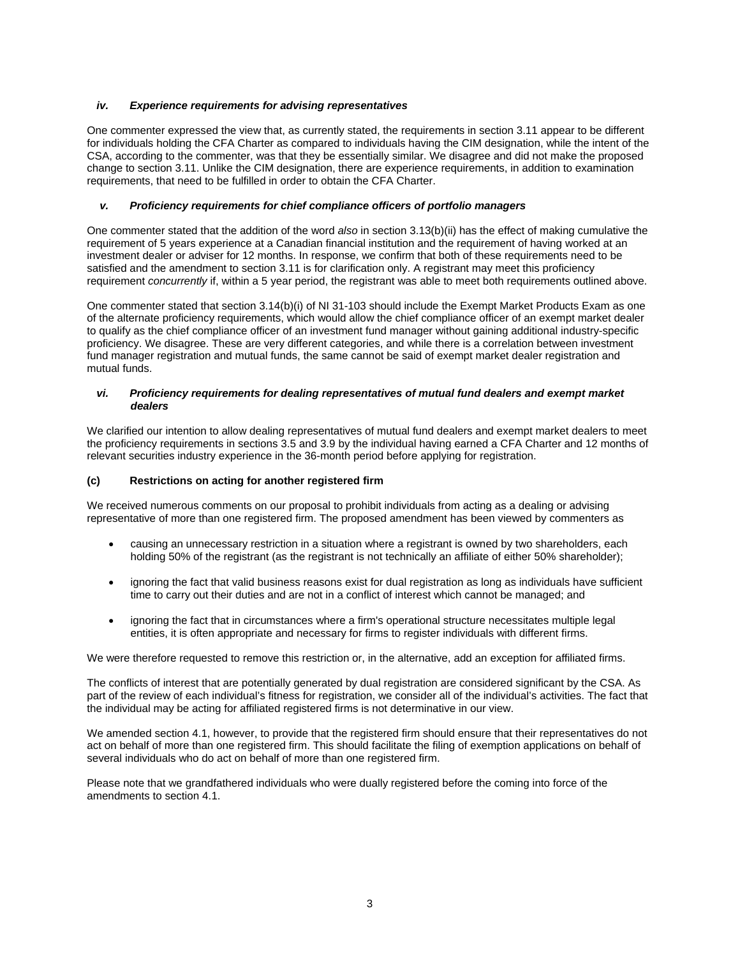### *iv. Experience requirements for advising representatives*

One commenter expressed the view that, as currently stated, the requirements in section 3.11 appear to be different for individuals holding the CFA Charter as compared to individuals having the CIM designation, while the intent of the CSA, according to the commenter, was that they be essentially similar. We disagree and did not make the proposed change to section 3.11. Unlike the CIM designation, there are experience requirements, in addition to examination requirements, that need to be fulfilled in order to obtain the CFA Charter.

# *v. Proficiency requirements for chief compliance officers of portfolio managers*

One commenter stated that the addition of the word *also* in section 3.13(b)(ii) has the effect of making cumulative the requirement of 5 years experience at a Canadian financial institution and the requirement of having worked at an investment dealer or adviser for 12 months. In response, we confirm that both of these requirements need to be satisfied and the amendment to section 3.11 is for clarification only. A registrant may meet this proficiency requirement *concurrently* if, within a 5 year period, the registrant was able to meet both requirements outlined above.

One commenter stated that section 3.14(b)(i) of NI 31-103 should include the Exempt Market Products Exam as one of the alternate proficiency requirements, which would allow the chief compliance officer of an exempt market dealer to qualify as the chief compliance officer of an investment fund manager without gaining additional industry-specific proficiency. We disagree. These are very different categories, and while there is a correlation between investment fund manager registration and mutual funds, the same cannot be said of exempt market dealer registration and mutual funds.

### *vi. Proficiency requirements for dealing representatives of mutual fund dealers and exempt market dealers*

We clarified our intention to allow dealing representatives of mutual fund dealers and exempt market dealers to meet the proficiency requirements in sections 3.5 and 3.9 by the individual having earned a CFA Charter and 12 months of relevant securities industry experience in the 36-month period before applying for registration.

### **(c) Restrictions on acting for another registered firm**

We received numerous comments on our proposal to prohibit individuals from acting as a dealing or advising representative of more than one registered firm. The proposed amendment has been viewed by commenters as

- causing an unnecessary restriction in a situation where a registrant is owned by two shareholders, each holding 50% of the registrant (as the registrant is not technically an affiliate of either 50% shareholder);
- ignoring the fact that valid business reasons exist for dual registration as long as individuals have sufficient time to carry out their duties and are not in a conflict of interest which cannot be managed; and
- ignoring the fact that in circumstances where a firm's operational structure necessitates multiple legal entities, it is often appropriate and necessary for firms to register individuals with different firms.

We were therefore requested to remove this restriction or, in the alternative, add an exception for affiliated firms.

The conflicts of interest that are potentially generated by dual registration are considered significant by the CSA. As part of the review of each individual's fitness for registration, we consider all of the individual's activities. The fact that the individual may be acting for affiliated registered firms is not determinative in our view.

We amended section 4.1, however, to provide that the registered firm should ensure that their representatives do not act on behalf of more than one registered firm. This should facilitate the filing of exemption applications on behalf of several individuals who do act on behalf of more than one registered firm.

Please note that we grandfathered individuals who were dually registered before the coming into force of the amendments to section 4.1.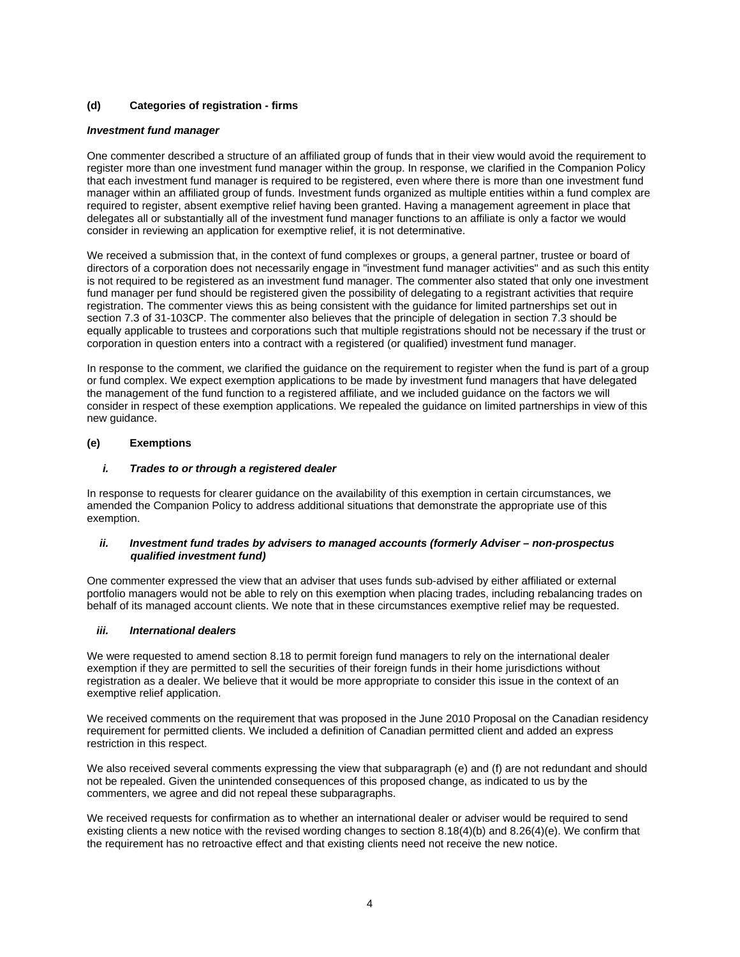# **(d) Categories of registration - firms**

#### *Investment fund manager*

One commenter described a structure of an affiliated group of funds that in their view would avoid the requirement to register more than one investment fund manager within the group. In response, we clarified in the Companion Policy that each investment fund manager is required to be registered, even where there is more than one investment fund manager within an affiliated group of funds. Investment funds organized as multiple entities within a fund complex are required to register, absent exemptive relief having been granted. Having a management agreement in place that delegates all or substantially all of the investment fund manager functions to an affiliate is only a factor we would consider in reviewing an application for exemptive relief, it is not determinative.

We received a submission that, in the context of fund complexes or groups, a general partner, trustee or board of directors of a corporation does not necessarily engage in "investment fund manager activities" and as such this entity is not required to be registered as an investment fund manager. The commenter also stated that only one investment fund manager per fund should be registered given the possibility of delegating to a registrant activities that require registration. The commenter views this as being consistent with the guidance for limited partnerships set out in section 7.3 of 31-103CP. The commenter also believes that the principle of delegation in section 7.3 should be equally applicable to trustees and corporations such that multiple registrations should not be necessary if the trust or corporation in question enters into a contract with a registered (or qualified) investment fund manager.

In response to the comment, we clarified the guidance on the requirement to register when the fund is part of a group or fund complex. We expect exemption applications to be made by investment fund managers that have delegated the management of the fund function to a registered affiliate, and we included guidance on the factors we will consider in respect of these exemption applications. We repealed the guidance on limited partnerships in view of this new guidance.

#### **(e) Exemptions**

#### *i. Trades to or through a registered dealer*

In response to requests for clearer guidance on the availability of this exemption in certain circumstances, we amended the Companion Policy to address additional situations that demonstrate the appropriate use of this exemption.

#### *ii. Investment fund trades by advisers to managed accounts (formerly Adviser – non-prospectus qualified investment fund)*

One commenter expressed the view that an adviser that uses funds sub-advised by either affiliated or external portfolio managers would not be able to rely on this exemption when placing trades, including rebalancing trades on behalf of its managed account clients. We note that in these circumstances exemptive relief may be requested.

#### *iii. International dealers*

We were requested to amend section 8.18 to permit foreign fund managers to rely on the international dealer exemption if they are permitted to sell the securities of their foreign funds in their home jurisdictions without registration as a dealer. We believe that it would be more appropriate to consider this issue in the context of an exemptive relief application.

We received comments on the requirement that was proposed in the June 2010 Proposal on the Canadian residency requirement for permitted clients. We included a definition of Canadian permitted client and added an express restriction in this respect.

We also received several comments expressing the view that subparagraph (e) and (f) are not redundant and should not be repealed. Given the unintended consequences of this proposed change, as indicated to us by the commenters, we agree and did not repeal these subparagraphs.

We received requests for confirmation as to whether an international dealer or adviser would be required to send existing clients a new notice with the revised wording changes to section 8.18(4)(b) and 8.26(4)(e). We confirm that the requirement has no retroactive effect and that existing clients need not receive the new notice.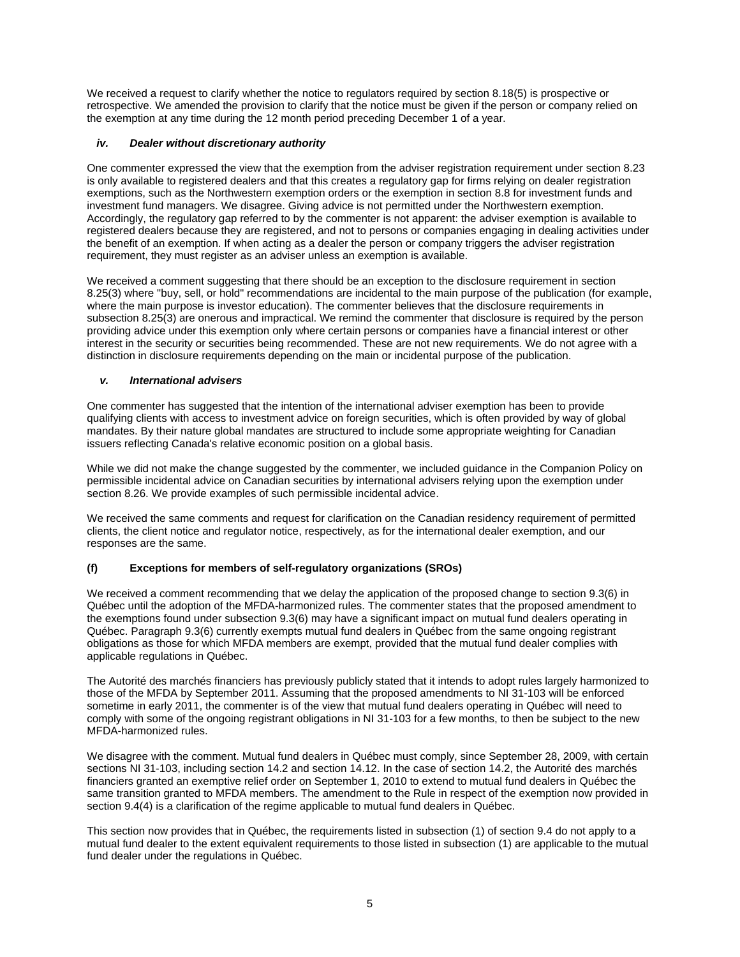We received a request to clarify whether the notice to regulators required by section 8.18(5) is prospective or retrospective. We amended the provision to clarify that the notice must be given if the person or company relied on the exemption at any time during the 12 month period preceding December 1 of a year.

# *iv. Dealer without discretionary authority*

One commenter expressed the view that the exemption from the adviser registration requirement under section 8.23 is only available to registered dealers and that this creates a regulatory gap for firms relying on dealer registration exemptions, such as the Northwestern exemption orders or the exemption in section 8.8 for investment funds and investment fund managers. We disagree. Giving advice is not permitted under the Northwestern exemption. Accordingly, the regulatory gap referred to by the commenter is not apparent: the adviser exemption is available to registered dealers because they are registered, and not to persons or companies engaging in dealing activities under the benefit of an exemption. If when acting as a dealer the person or company triggers the adviser registration requirement, they must register as an adviser unless an exemption is available.

We received a comment suggesting that there should be an exception to the disclosure requirement in section 8.25(3) where "buy, sell, or hold" recommendations are incidental to the main purpose of the publication (for example, where the main purpose is investor education). The commenter believes that the disclosure requirements in subsection 8.25(3) are onerous and impractical. We remind the commenter that disclosure is required by the person providing advice under this exemption only where certain persons or companies have a financial interest or other interest in the security or securities being recommended. These are not new requirements. We do not agree with a distinction in disclosure requirements depending on the main or incidental purpose of the publication.

# *v. International advisers*

One commenter has suggested that the intention of the international adviser exemption has been to provide qualifying clients with access to investment advice on foreign securities, which is often provided by way of global mandates. By their nature global mandates are structured to include some appropriate weighting for Canadian issuers reflecting Canada's relative economic position on a global basis.

While we did not make the change suggested by the commenter, we included guidance in the Companion Policy on permissible incidental advice on Canadian securities by international advisers relying upon the exemption under section 8.26. We provide examples of such permissible incidental advice.

We received the same comments and request for clarification on the Canadian residency requirement of permitted clients, the client notice and regulator notice, respectively, as for the international dealer exemption, and our responses are the same.

# **(f) Exceptions for members of self-regulatory organizations (SROs)**

We received a comment recommending that we delay the application of the proposed change to section 9.3(6) in Québec until the adoption of the MFDA-harmonized rules. The commenter states that the proposed amendment to the exemptions found under subsection 9.3(6) may have a significant impact on mutual fund dealers operating in Québec. Paragraph 9.3(6) currently exempts mutual fund dealers in Québec from the same ongoing registrant obligations as those for which MFDA members are exempt, provided that the mutual fund dealer complies with applicable regulations in Québec.

The Autorité des marchés financiers has previously publicly stated that it intends to adopt rules largely harmonized to those of the MFDA by September 2011. Assuming that the proposed amendments to NI 31-103 will be enforced sometime in early 2011, the commenter is of the view that mutual fund dealers operating in Québec will need to comply with some of the ongoing registrant obligations in NI 31-103 for a few months, to then be subject to the new MFDA-harmonized rules.

We disagree with the comment. Mutual fund dealers in Québec must comply, since September 28, 2009, with certain sections NI 31-103, including section 14.2 and section 14.12. In the case of section 14.2, the Autorité des marchés financiers granted an exemptive relief order on September 1, 2010 to extend to mutual fund dealers in Québec the same transition granted to MFDA members. The amendment to the Rule in respect of the exemption now provided in section 9.4(4) is a clarification of the regime applicable to mutual fund dealers in Québec.

This section now provides that in Québec, the requirements listed in subsection (1) of section 9.4 do not apply to a mutual fund dealer to the extent equivalent requirements to those listed in subsection (1) are applicable to the mutual fund dealer under the regulations in Québec.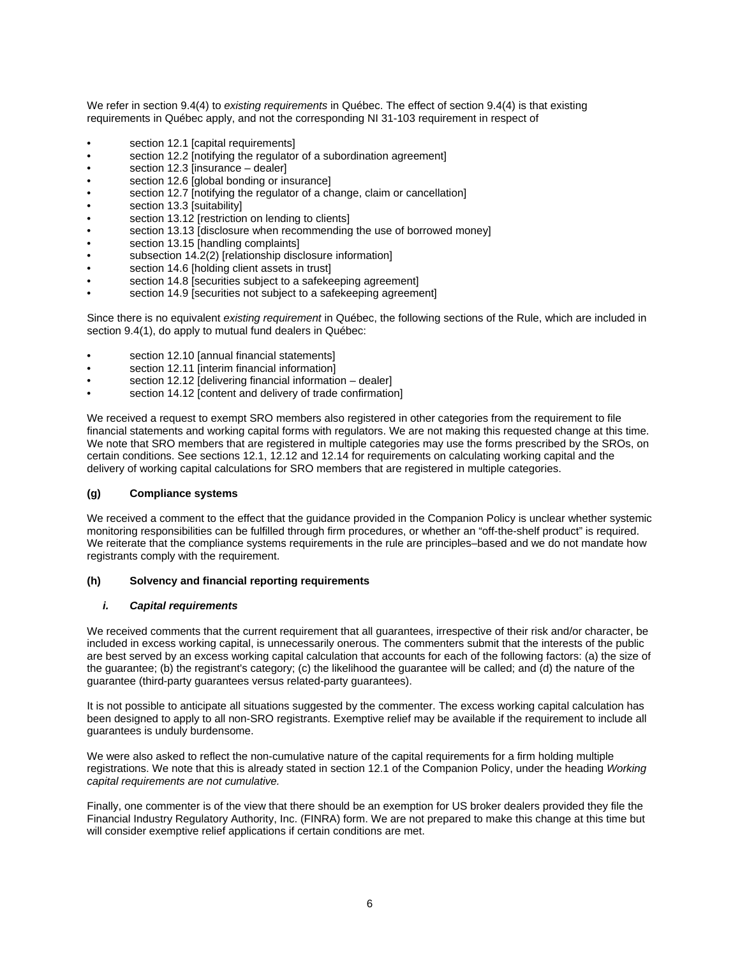We refer in section 9.4(4) to *existing requirements* in Québec. The effect of section 9.4(4) is that existing requirements in Québec apply, and not the corresponding NI 31-103 requirement in respect of

- section 12.1 [capital requirements]
- section 12.2 [notifying the regulator of a subordination agreement]
- section 12.3 linsurance dealerl
- section 12.6 [global bonding or insurance]
- section 12.7 [notifying the regulator of a change, claim or cancellation]
- section 13.3 [suitability]
- section 13.12 [restriction on lending to clients]
- section 13.13 [disclosure when recommending the use of borrowed money]
- section 13.15 [handling complaints]
- subsection 14.2(2) [relationship disclosure information]
- section 14.6 [holding client assets in trust]
- section 14.8 [securities subject to a safekeeping agreement]
- section 14.9 [securities not subject to a safekeeping agreement]

Since there is no equivalent *existing requirement* in Québec, the following sections of the Rule, which are included in section 9.4(1), do apply to mutual fund dealers in Québec:

- section 12.10 [annual financial statements]
- section 12.11 [interim financial information]
- section 12.12 [delivering financial information dealer]
- section 14.12 [content and delivery of trade confirmation]

We received a request to exempt SRO members also registered in other categories from the requirement to file financial statements and working capital forms with regulators. We are not making this requested change at this time. We note that SRO members that are registered in multiple categories may use the forms prescribed by the SROs, on certain conditions. See sections 12.1, 12.12 and 12.14 for requirements on calculating working capital and the delivery of working capital calculations for SRO members that are registered in multiple categories.

#### **(g) Compliance systems**

We received a comment to the effect that the guidance provided in the Companion Policy is unclear whether systemic monitoring responsibilities can be fulfilled through firm procedures, or whether an "off-the-shelf product" is required. We reiterate that the compliance systems requirements in the rule are principles–based and we do not mandate how registrants comply with the requirement.

#### **(h) Solvency and financial reporting requirements**

#### *i. Capital requirements*

We received comments that the current requirement that all guarantees, irrespective of their risk and/or character, be included in excess working capital, is unnecessarily onerous. The commenters submit that the interests of the public are best served by an excess working capital calculation that accounts for each of the following factors: (a) the size of the guarantee; (b) the registrant's category; (c) the likelihood the guarantee will be called; and (d) the nature of the guarantee (third-party guarantees versus related-party guarantees).

It is not possible to anticipate all situations suggested by the commenter. The excess working capital calculation has been designed to apply to all non-SRO registrants. Exemptive relief may be available if the requirement to include all guarantees is unduly burdensome.

We were also asked to reflect the non-cumulative nature of the capital requirements for a firm holding multiple registrations. We note that this is already stated in section 12.1 of the Companion Policy, under the heading *Working capital requirements are not cumulative.* 

Finally, one commenter is of the view that there should be an exemption for US broker dealers provided they file the Financial Industry Regulatory Authority, Inc. (FINRA) form. We are not prepared to make this change at this time but will consider exemptive relief applications if certain conditions are met.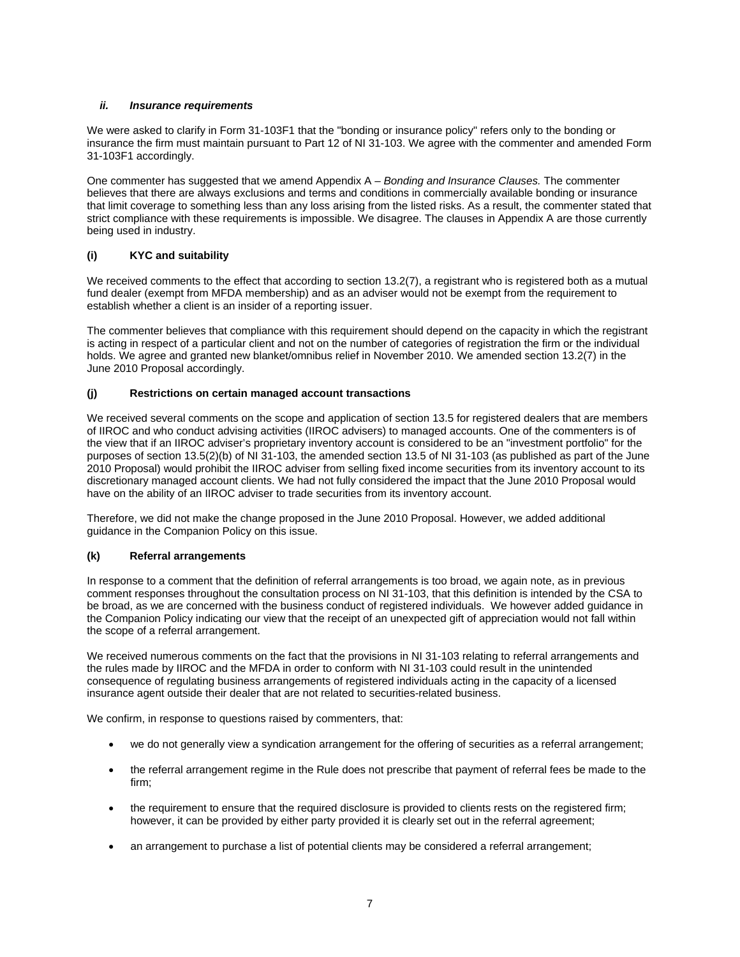# *ii. Insurance requirements*

We were asked to clarify in Form 31-103F1 that the "bonding or insurance policy" refers only to the bonding or insurance the firm must maintain pursuant to Part 12 of NI 31-103. We agree with the commenter and amended Form 31-103F1 accordingly.

One commenter has suggested that we amend Appendix A – *Bonding and Insurance Clauses.* The commenter believes that there are always exclusions and terms and conditions in commercially available bonding or insurance that limit coverage to something less than any loss arising from the listed risks. As a result, the commenter stated that strict compliance with these requirements is impossible. We disagree. The clauses in Appendix A are those currently being used in industry.

# **(i) KYC and suitability**

We received comments to the effect that according to section 13.2(7), a registrant who is registered both as a mutual fund dealer (exempt from MFDA membership) and as an adviser would not be exempt from the requirement to establish whether a client is an insider of a reporting issuer.

The commenter believes that compliance with this requirement should depend on the capacity in which the registrant is acting in respect of a particular client and not on the number of categories of registration the firm or the individual holds. We agree and granted new blanket/omnibus relief in November 2010. We amended section 13.2(7) in the June 2010 Proposal accordingly.

# **(j) Restrictions on certain managed account transactions**

We received several comments on the scope and application of section 13.5 for registered dealers that are members of IIROC and who conduct advising activities (IIROC advisers) to managed accounts. One of the commenters is of the view that if an IIROC adviser's proprietary inventory account is considered to be an "investment portfolio" for the purposes of section 13.5(2)(b) of NI 31-103, the amended section 13.5 of NI 31-103 (as published as part of the June 2010 Proposal) would prohibit the IIROC adviser from selling fixed income securities from its inventory account to its discretionary managed account clients. We had not fully considered the impact that the June 2010 Proposal would have on the ability of an IIROC adviser to trade securities from its inventory account.

Therefore, we did not make the change proposed in the June 2010 Proposal. However, we added additional guidance in the Companion Policy on this issue.

### **(k) Referral arrangements**

In response to a comment that the definition of referral arrangements is too broad, we again note, as in previous comment responses throughout the consultation process on NI 31-103, that this definition is intended by the CSA to be broad, as we are concerned with the business conduct of registered individuals. We however added guidance in the Companion Policy indicating our view that the receipt of an unexpected gift of appreciation would not fall within the scope of a referral arrangement.

We received numerous comments on the fact that the provisions in NI 31-103 relating to referral arrangements and the rules made by IIROC and the MFDA in order to conform with NI 31-103 could result in the unintended consequence of regulating business arrangements of registered individuals acting in the capacity of a licensed insurance agent outside their dealer that are not related to securities-related business.

We confirm, in response to questions raised by commenters, that:

- we do not generally view a syndication arrangement for the offering of securities as a referral arrangement;
- the referral arrangement regime in the Rule does not prescribe that payment of referral fees be made to the firm;
- the requirement to ensure that the required disclosure is provided to clients rests on the registered firm; however, it can be provided by either party provided it is clearly set out in the referral agreement;
- an arrangement to purchase a list of potential clients may be considered a referral arrangement;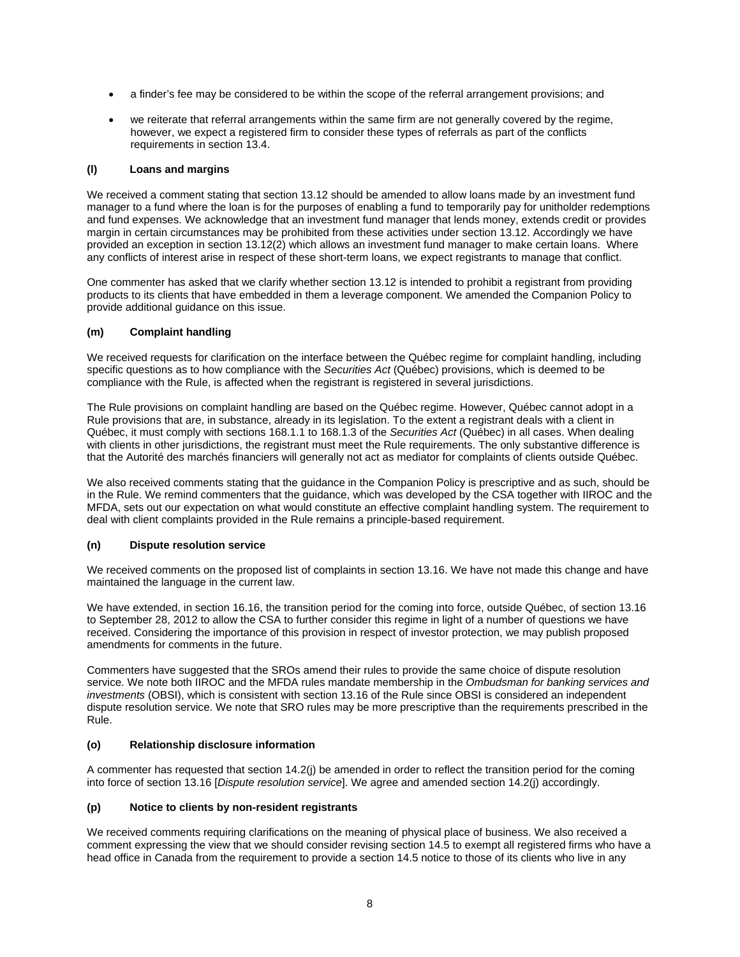- a finder's fee may be considered to be within the scope of the referral arrangement provisions; and
- we reiterate that referral arrangements within the same firm are not generally covered by the regime, however, we expect a registered firm to consider these types of referrals as part of the conflicts requirements in section 13.4.

### **(l) Loans and margins**

We received a comment stating that section 13.12 should be amended to allow loans made by an investment fund manager to a fund where the loan is for the purposes of enabling a fund to temporarily pay for unitholder redemptions and fund expenses. We acknowledge that an investment fund manager that lends money, extends credit or provides margin in certain circumstances may be prohibited from these activities under section 13.12. Accordingly we have provided an exception in section 13.12(2) which allows an investment fund manager to make certain loans. Where any conflicts of interest arise in respect of these short-term loans, we expect registrants to manage that conflict.

One commenter has asked that we clarify whether section 13.12 is intended to prohibit a registrant from providing products to its clients that have embedded in them a leverage component. We amended the Companion Policy to provide additional guidance on this issue.

# **(m) Complaint handling**

We received requests for clarification on the interface between the Québec regime for complaint handling, including specific questions as to how compliance with the *Securities Act* (Québec) provisions, which is deemed to be compliance with the Rule, is affected when the registrant is registered in several jurisdictions.

The Rule provisions on complaint handling are based on the Québec regime. However, Québec cannot adopt in a Rule provisions that are, in substance, already in its legislation. To the extent a registrant deals with a client in Québec, it must comply with sections 168.1.1 to 168.1.3 of the *Securities Act* (Québec) in all cases. When dealing with clients in other jurisdictions, the registrant must meet the Rule requirements. The only substantive difference is that the Autorité des marchés financiers will generally not act as mediator for complaints of clients outside Québec.

We also received comments stating that the guidance in the Companion Policy is prescriptive and as such, should be in the Rule. We remind commenters that the guidance, which was developed by the CSA together with IIROC and the MFDA, sets out our expectation on what would constitute an effective complaint handling system. The requirement to deal with client complaints provided in the Rule remains a principle-based requirement.

### **(n) Dispute resolution service**

We received comments on the proposed list of complaints in section 13.16. We have not made this change and have maintained the language in the current law.

We have extended, in section 16.16, the transition period for the coming into force, outside Québec, of section 13.16 to September 28, 2012 to allow the CSA to further consider this regime in light of a number of questions we have received. Considering the importance of this provision in respect of investor protection, we may publish proposed amendments for comments in the future.

Commenters have suggested that the SROs amend their rules to provide the same choice of dispute resolution service. We note both IIROC and the MFDA rules mandate membership in the *Ombudsman for banking services and investments* (OBSI), which is consistent with section 13.16 of the Rule since OBSI is considered an independent dispute resolution service. We note that SRO rules may be more prescriptive than the requirements prescribed in the Rule.

### **(o) Relationship disclosure information**

A commenter has requested that section 14.2(j) be amended in order to reflect the transition period for the coming into force of section 13.16 [*Dispute resolution service*]. We agree and amended section 14.2(j) accordingly.

### **(p) Notice to clients by non-resident registrants**

We received comments requiring clarifications on the meaning of physical place of business. We also received a comment expressing the view that we should consider revising section 14.5 to exempt all registered firms who have a head office in Canada from the requirement to provide a section 14.5 notice to those of its clients who live in any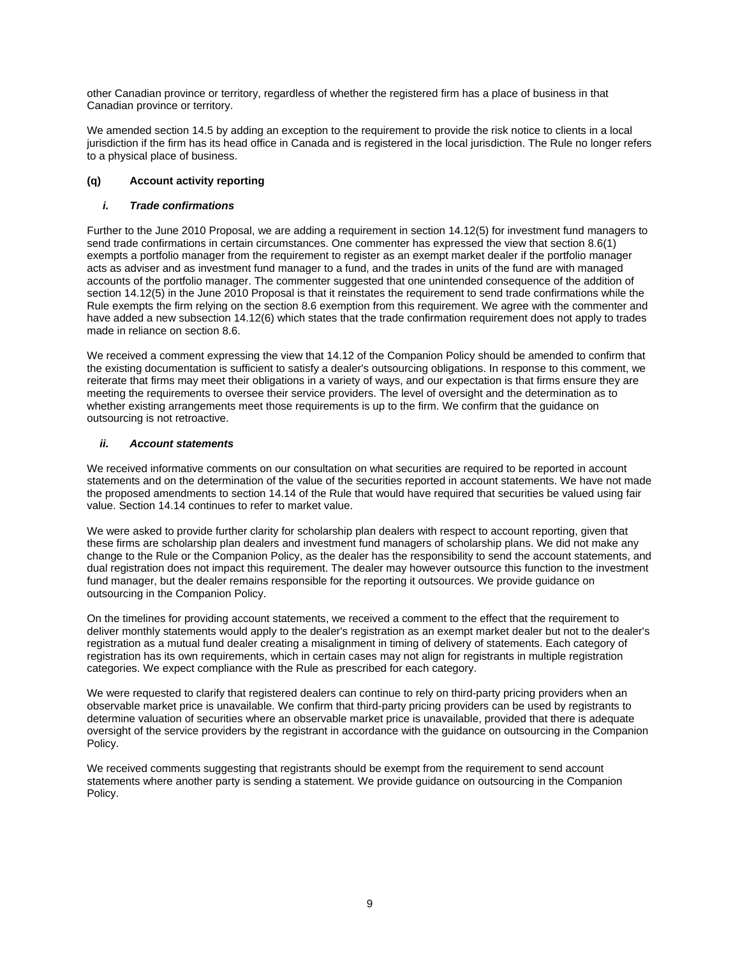other Canadian province or territory, regardless of whether the registered firm has a place of business in that Canadian province or territory.

We amended section 14.5 by adding an exception to the requirement to provide the risk notice to clients in a local jurisdiction if the firm has its head office in Canada and is registered in the local jurisdiction. The Rule no longer refers to a physical place of business.

# **(q) Account activity reporting**

# *i. Trade confirmations*

Further to the June 2010 Proposal, we are adding a requirement in section 14.12(5) for investment fund managers to send trade confirmations in certain circumstances. One commenter has expressed the view that section 8.6(1) exempts a portfolio manager from the requirement to register as an exempt market dealer if the portfolio manager acts as adviser and as investment fund manager to a fund, and the trades in units of the fund are with managed accounts of the portfolio manager. The commenter suggested that one unintended consequence of the addition of section 14.12(5) in the June 2010 Proposal is that it reinstates the requirement to send trade confirmations while the Rule exempts the firm relying on the section 8.6 exemption from this requirement. We agree with the commenter and have added a new subsection 14.12(6) which states that the trade confirmation requirement does not apply to trades made in reliance on section 8.6.

We received a comment expressing the view that 14.12 of the Companion Policy should be amended to confirm that the existing documentation is sufficient to satisfy a dealer's outsourcing obligations. In response to this comment, we reiterate that firms may meet their obligations in a variety of ways, and our expectation is that firms ensure they are meeting the requirements to oversee their service providers. The level of oversight and the determination as to whether existing arrangements meet those requirements is up to the firm. We confirm that the guidance on outsourcing is not retroactive.

### *ii. Account statements*

We received informative comments on our consultation on what securities are required to be reported in account statements and on the determination of the value of the securities reported in account statements. We have not made the proposed amendments to section 14.14 of the Rule that would have required that securities be valued using fair value. Section 14.14 continues to refer to market value.

We were asked to provide further clarity for scholarship plan dealers with respect to account reporting, given that these firms are scholarship plan dealers and investment fund managers of scholarship plans. We did not make any change to the Rule or the Companion Policy, as the dealer has the responsibility to send the account statements, and dual registration does not impact this requirement. The dealer may however outsource this function to the investment fund manager, but the dealer remains responsible for the reporting it outsources. We provide guidance on outsourcing in the Companion Policy.

On the timelines for providing account statements, we received a comment to the effect that the requirement to deliver monthly statements would apply to the dealer's registration as an exempt market dealer but not to the dealer's registration as a mutual fund dealer creating a misalignment in timing of delivery of statements. Each category of registration has its own requirements, which in certain cases may not align for registrants in multiple registration categories. We expect compliance with the Rule as prescribed for each category.

We were requested to clarify that registered dealers can continue to rely on third-party pricing providers when an observable market price is unavailable. We confirm that third-party pricing providers can be used by registrants to determine valuation of securities where an observable market price is unavailable, provided that there is adequate oversight of the service providers by the registrant in accordance with the guidance on outsourcing in the Companion Policy.

We received comments suggesting that registrants should be exempt from the requirement to send account statements where another party is sending a statement. We provide guidance on outsourcing in the Companion Policy.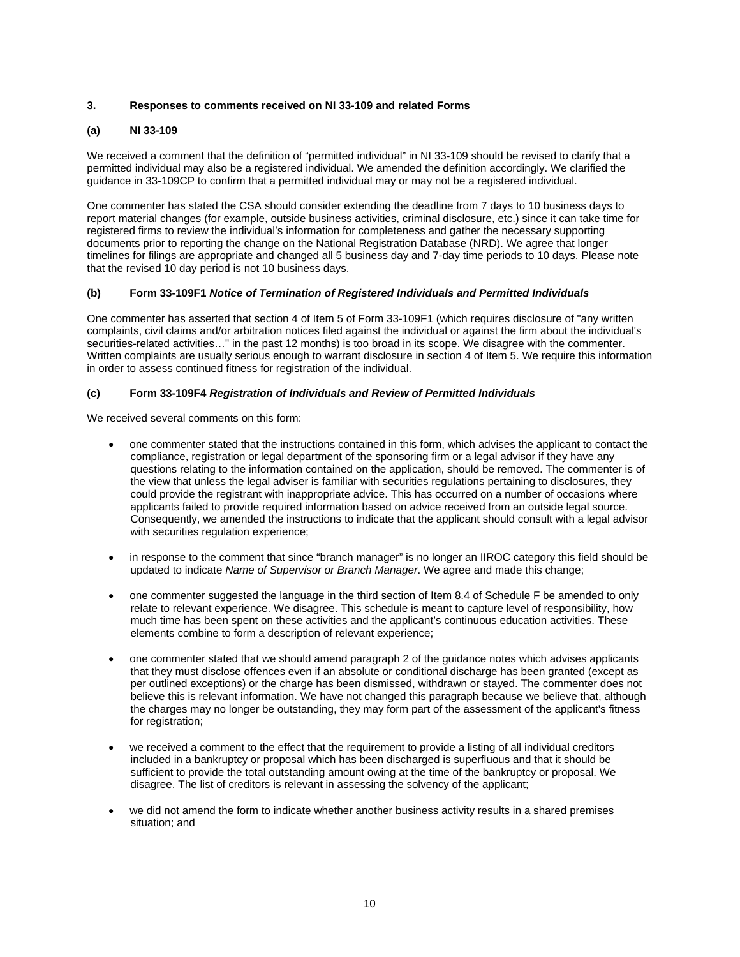# **3. Responses to comments received on NI 33-109 and related Forms**

### **(a) NI 33-109**

We received a comment that the definition of "permitted individual" in NI 33-109 should be revised to clarify that a permitted individual may also be a registered individual. We amended the definition accordingly. We clarified the guidance in 33-109CP to confirm that a permitted individual may or may not be a registered individual.

One commenter has stated the CSA should consider extending the deadline from 7 days to 10 business days to report material changes (for example, outside business activities, criminal disclosure, etc.) since it can take time for registered firms to review the individual's information for completeness and gather the necessary supporting documents prior to reporting the change on the National Registration Database (NRD). We agree that longer timelines for filings are appropriate and changed all 5 business day and 7-day time periods to 10 days. Please note that the revised 10 day period is not 10 business days.

### **(b) Form 33-109F1** *Notice of Termination of Registered Individuals and Permitted Individuals*

One commenter has asserted that section 4 of Item 5 of Form 33-109F1 (which requires disclosure of "any written complaints, civil claims and/or arbitration notices filed against the individual or against the firm about the individual's securities-related activities…" in the past 12 months) is too broad in its scope. We disagree with the commenter. Written complaints are usually serious enough to warrant disclosure in section 4 of Item 5. We require this information in order to assess continued fitness for registration of the individual.

### **(c) Form 33-109F4** *Registration of Individuals and Review of Permitted Individuals*

We received several comments on this form:

- one commenter stated that the instructions contained in this form, which advises the applicant to contact the compliance, registration or legal department of the sponsoring firm or a legal advisor if they have any questions relating to the information contained on the application, should be removed. The commenter is of the view that unless the legal adviser is familiar with securities regulations pertaining to disclosures, they could provide the registrant with inappropriate advice. This has occurred on a number of occasions where applicants failed to provide required information based on advice received from an outside legal source. Consequently, we amended the instructions to indicate that the applicant should consult with a legal advisor with securities regulation experience;
- in response to the comment that since "branch manager" is no longer an IIROC category this field should be updated to indicate *Name of Supervisor or Branch Manager*. We agree and made this change;
- one commenter suggested the language in the third section of Item 8.4 of Schedule F be amended to only relate to relevant experience. We disagree. This schedule is meant to capture level of responsibility, how much time has been spent on these activities and the applicant's continuous education activities. These elements combine to form a description of relevant experience;
- one commenter stated that we should amend paragraph 2 of the guidance notes which advises applicants that they must disclose offences even if an absolute or conditional discharge has been granted (except as per outlined exceptions) or the charge has been dismissed, withdrawn or stayed. The commenter does not believe this is relevant information. We have not changed this paragraph because we believe that, although the charges may no longer be outstanding, they may form part of the assessment of the applicant's fitness for registration:
- we received a comment to the effect that the requirement to provide a listing of all individual creditors included in a bankruptcy or proposal which has been discharged is superfluous and that it should be sufficient to provide the total outstanding amount owing at the time of the bankruptcy or proposal. We disagree. The list of creditors is relevant in assessing the solvency of the applicant;
- we did not amend the form to indicate whether another business activity results in a shared premises situation; and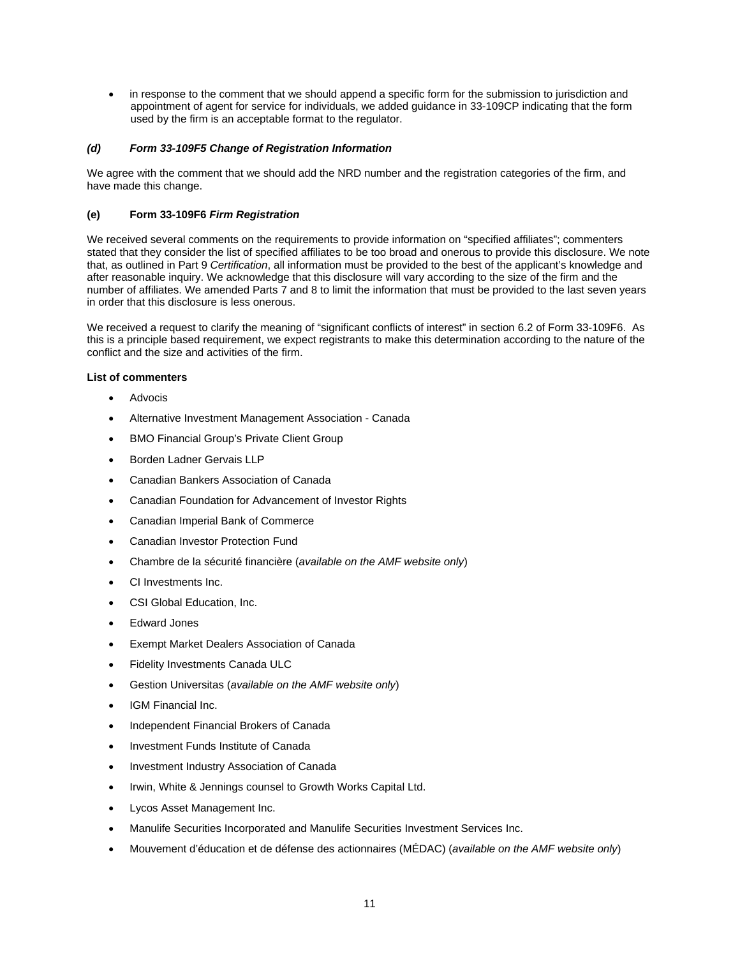• in response to the comment that we should append a specific form for the submission to jurisdiction and appointment of agent for service for individuals, we added guidance in 33-109CP indicating that the form used by the firm is an acceptable format to the regulator.

# *(d) Form 33-109F5 Change of Registration Information*

We agree with the comment that we should add the NRD number and the registration categories of the firm, and have made this change.

# **(e) Form 33-109F6** *Firm Registration*

We received several comments on the requirements to provide information on "specified affiliates"; commenters stated that they consider the list of specified affiliates to be too broad and onerous to provide this disclosure. We note that, as outlined in Part 9 *Certification*, all information must be provided to the best of the applicant's knowledge and after reasonable inquiry. We acknowledge that this disclosure will vary according to the size of the firm and the number of affiliates. We amended Parts 7 and 8 to limit the information that must be provided to the last seven years in order that this disclosure is less onerous.

We received a request to clarify the meaning of "significant conflicts of interest" in section 6.2 of Form 33-109F6. As this is a principle based requirement, we expect registrants to make this determination according to the nature of the conflict and the size and activities of the firm.

### **List of commenters**

- **Advocis**
- Alternative Investment Management Association Canada
- BMO Financial Group's Private Client Group
- Borden Ladner Gervais LLP
- Canadian Bankers Association of Canada
- Canadian Foundation for Advancement of Investor Rights
- Canadian Imperial Bank of Commerce
- Canadian Investor Protection Fund
- Chambre de la sécurité financière (*available on the AMF website only*)
- CI Investments Inc.
- CSI Global Education, Inc.
- Edward Jones
- Exempt Market Dealers Association of Canada
- Fidelity Investments Canada ULC
- Gestion Universitas (*available on the AMF website only*)
- IGM Financial Inc.
- Independent Financial Brokers of Canada
- Investment Funds Institute of Canada
- Investment Industry Association of Canada
- Irwin, White & Jennings counsel to Growth Works Capital Ltd.
- Lycos Asset Management Inc.
- Manulife Securities Incorporated and Manulife Securities Investment Services Inc.
- Mouvement d'éducation et de défense des actionnaires (MÉDAC) (*available on the AMF website only*)